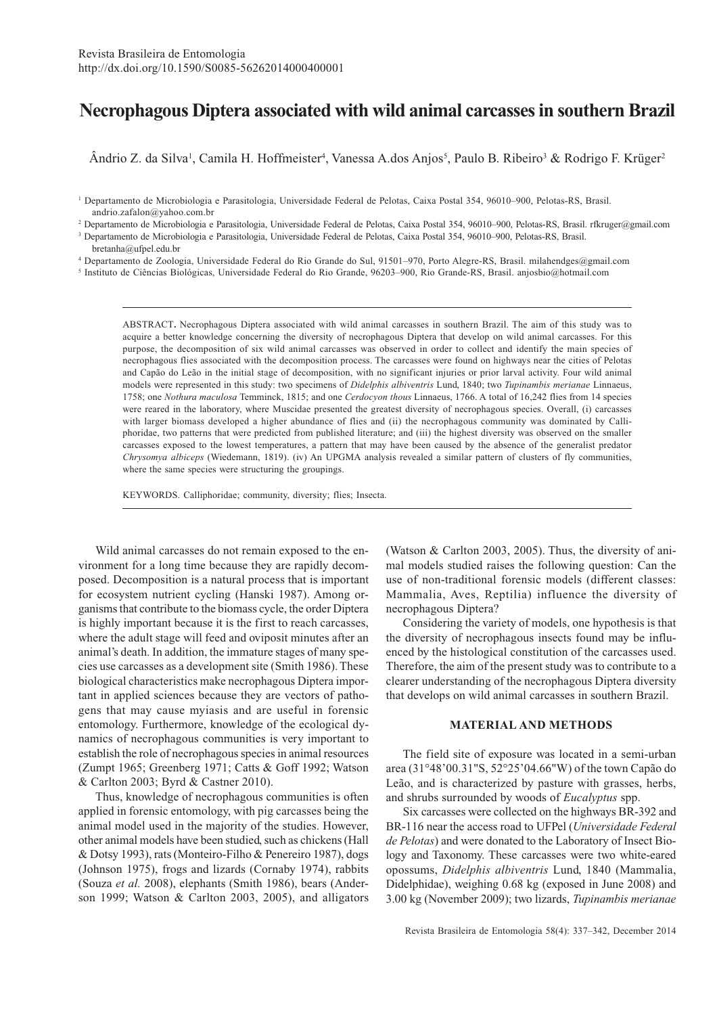# **Necrophagous Diptera associated with wild animal carcasses in southern Brazil**

Ândrio Z. da Silva<sup>1</sup>, Camila H. Hoffmeister<sup>4</sup>, Vanessa A.dos Anjos<sup>5</sup>, Paulo B. Ribeiro<sup>3</sup> & Rodrigo F. Krüger<sup>2</sup>

2 Departamento de Microbiologia e Parasitologia, Universidade Federal de Pelotas, Caixa Postal 354, 96010–900, Pelotas-RS, Brasil. rfkruger@gmail.com

3 Departamento de Microbiologia e Parasitologia, Universidade Federal de Pelotas, Caixa Postal 354, 96010–900, Pelotas-RS, Brasil.

4 Departamento de Zoologia, Universidade Federal do Rio Grande do Sul, 91501–970, Porto Alegre-RS, Brasil. milahendges@gmail.com

5 Instituto de Ciências Biológicas, Universidade Federal do Rio Grande, 96203–900, Rio Grande-RS, Brasil. anjosbio@hotmail.com

ABSTRACT**.** Necrophagous Diptera associated with wild animal carcasses in southern Brazil. The aim of this study was to acquire a better knowledge concerning the diversity of necrophagous Diptera that develop on wild animal carcasses. For this purpose, the decomposition of six wild animal carcasses was observed in order to collect and identify the main species of necrophagous flies associated with the decomposition process. The carcasses were found on highways near the cities of Pelotas and Capão do Leão in the initial stage of decomposition, with no significant injuries or prior larval activity. Four wild animal models were represented in this study: two specimens of *Didelphis albiventris* Lund, 1840; two *Tupinambis merianae* Linnaeus, 1758; one *Nothura maculosa* Temminck, 1815; and one *Cerdocyon thous* Linnaeus, 1766. A total of 16,242 flies from 14 species were reared in the laboratory, where Muscidae presented the greatest diversity of necrophagous species. Overall, (i) carcasses with larger biomass developed a higher abundance of flies and (ii) the necrophagous community was dominated by Calliphoridae, two patterns that were predicted from published literature; and (iii) the highest diversity was observed on the smaller carcasses exposed to the lowest temperatures, a pattern that may have been caused by the absence of the generalist predator *Chrysomya albiceps* (Wiedemann, 1819). (iv) An UPGMA analysis revealed a similar pattern of clusters of fly communities, where the same species were structuring the groupings.

KEYWORDS. Calliphoridae; community, diversity; flies; Insecta.

Wild animal carcasses do not remain exposed to the environment for a long time because they are rapidly decomposed. Decomposition is a natural process that is important for ecosystem nutrient cycling (Hanski 1987). Among organisms that contribute to the biomass cycle, the order Diptera is highly important because it is the first to reach carcasses, where the adult stage will feed and oviposit minutes after an animal's death. In addition, the immature stages of many species use carcasses as a development site (Smith 1986). These biological characteristics make necrophagous Diptera important in applied sciences because they are vectors of pathogens that may cause myiasis and are useful in forensic entomology. Furthermore, knowledge of the ecological dynamics of necrophagous communities is very important to establish the role of necrophagous species in animal resources (Zumpt 1965; Greenberg 1971; Catts & Goff 1992; Watson & Carlton 2003; Byrd & Castner 2010).

Thus, knowledge of necrophagous communities is often applied in forensic entomology, with pig carcasses being the animal model used in the majority of the studies. However, other animal models have been studied, such as chickens (Hall & Dotsy 1993), rats (Monteiro-Filho & Penereiro 1987), dogs (Johnson 1975), frogs and lizards (Cornaby 1974), rabbits (Souza *et al.* 2008), elephants (Smith 1986), bears (Anderson 1999; Watson & Carlton 2003, 2005), and alligators (Watson & Carlton 2003, 2005). Thus, the diversity of animal models studied raises the following question: Can the use of non-traditional forensic models (different classes: Mammalia, Aves, Reptilia) influence the diversity of necrophagous Diptera?

Considering the variety of models, one hypothesis is that the diversity of necrophagous insects found may be influenced by the histological constitution of the carcasses used. Therefore, the aim of the present study was to contribute to a clearer understanding of the necrophagous Diptera diversity that develops on wild animal carcasses in southern Brazil.

## **MATERIAL AND METHODS**

The field site of exposure was located in a semi-urban area (31°48'00.31"S, 52°25'04.66"W) of the town Capão do Leão, and is characterized by pasture with grasses, herbs, and shrubs surrounded by woods of *Eucalyptus* spp.

Six carcasses were collected on the highways BR-392 and BR-116 near the access road to UFPel (*Universidade Federal de Pelotas*) and were donated to the Laboratory of Insect Biology and Taxonomy. These carcasses were two white-eared opossums, *Didelphis albiventris* Lund, 1840 (Mammalia, Didelphidae), weighing 0.68 kg (exposed in June 2008) and 3.00 kg (November 2009); two lizards, *Tupinambis merianae*

<sup>1</sup> Departamento de Microbiologia e Parasitologia, Universidade Federal de Pelotas, Caixa Postal 354, 96010–900, Pelotas-RS, Brasil. andrio.zafalon@yahoo.com.br

bretanha@ufpel.edu.br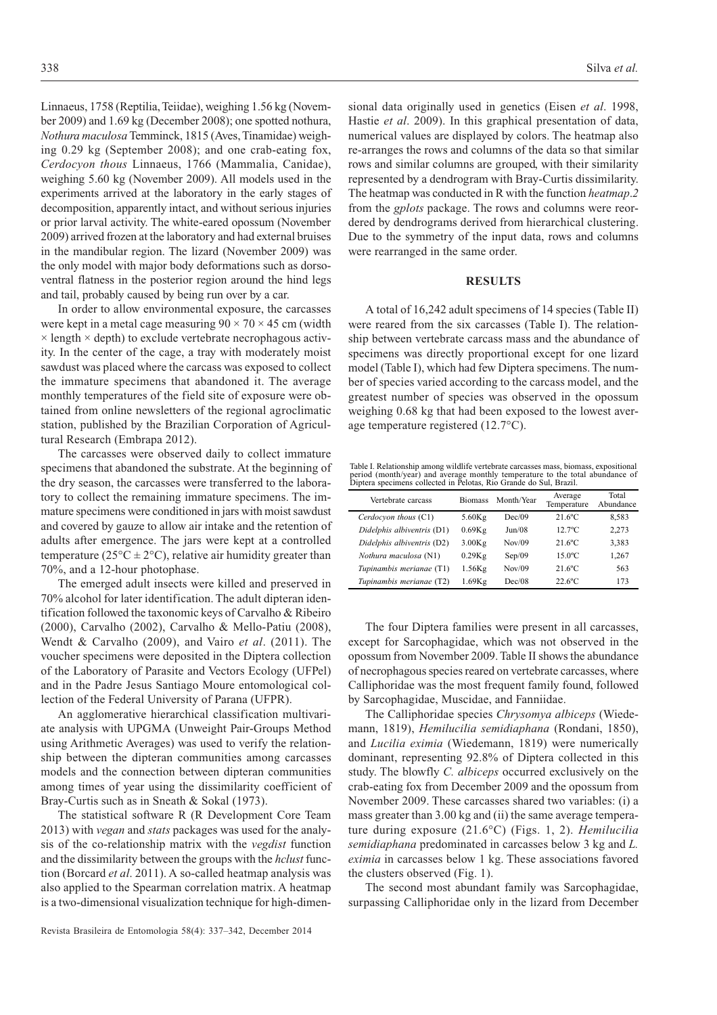Linnaeus, 1758 (Reptilia, Teiidae), weighing 1.56 kg (November 2009) and 1.69 kg (December 2008); one spotted nothura, *Nothura maculosa* Temminck, 1815 (Aves, Tinamidae) weighing 0.29 kg (September 2008); and one crab-eating fox, *Cerdocyon thous* Linnaeus, 1766 (Mammalia, Canidae), weighing 5.60 kg (November 2009). All models used in the experiments arrived at the laboratory in the early stages of decomposition, apparently intact, and without serious injuries or prior larval activity. The white-eared opossum (November 2009) arrived frozen at the laboratory and had external bruises in the mandibular region. The lizard (November 2009) was the only model with major body deformations such as dorsoventral flatness in the posterior region around the hind legs and tail, probably caused by being run over by a car.

In order to allow environmental exposure, the carcasses were kept in a metal cage measuring  $90 \times 70 \times 45$  cm (width  $\times$  length  $\times$  depth) to exclude vertebrate necrophagous activity. In the center of the cage, a tray with moderately moist sawdust was placed where the carcass was exposed to collect the immature specimens that abandoned it. The average monthly temperatures of the field site of exposure were obtained from online newsletters of the regional agroclimatic station, published by the Brazilian Corporation of Agricultural Research (Embrapa 2012).

The carcasses were observed daily to collect immature specimens that abandoned the substrate. At the beginning of the dry season, the carcasses were transferred to the laboratory to collect the remaining immature specimens. The immature specimens were conditioned in jars with moist sawdust and covered by gauze to allow air intake and the retention of adults after emergence. The jars were kept at a controlled temperature ( $25^{\circ}$ C  $\pm$  2°C), relative air humidity greater than 70%, and a 12-hour photophase.

The emerged adult insects were killed and preserved in 70% alcohol for later identification. The adult dipteran identification followed the taxonomic keys of Carvalho & Ribeiro (2000), Carvalho (2002), Carvalho & Mello-Patiu (2008), Wendt & Carvalho (2009), and Vairo *et al*. (2011). The voucher specimens were deposited in the Diptera collection of the Laboratory of Parasite and Vectors Ecology (UFPel) and in the Padre Jesus Santiago Moure entomological collection of the Federal University of Parana (UFPR).

An agglomerative hierarchical classification multivariate analysis with UPGMA (Unweight Pair-Groups Method using Arithmetic Averages) was used to verify the relationship between the dipteran communities among carcasses models and the connection between dipteran communities among times of year using the dissimilarity coefficient of Bray-Curtis such as in Sneath & Sokal (1973).

The statistical software R (R Development Core Team 2013) with *vegan* and *stats* packages was used for the analysis of the co-relationship matrix with the *vegdist* function and the dissimilarity between the groups with the *hclust* function (Borcard *et al*. 2011). A so-called heatmap analysis was also applied to the Spearman correlation matrix. A heatmap is a two-dimensional visualization technique for high-dimen-

sional data originally used in genetics (Eisen *et al*. 1998, Hastie *et al*. 2009). In this graphical presentation of data, numerical values are displayed by colors. The heatmap also re-arranges the rows and columns of the data so that similar rows and similar columns are grouped, with their similarity represented by a dendrogram with Bray-Curtis dissimilarity. The heatmap was conducted in R with the function *heatmap*.*2* from the *gplots* package. The rows and columns were reordered by dendrograms derived from hierarchical clustering. Due to the symmetry of the input data, rows and columns were rearranged in the same order.

#### **RESULTS**

A total of 16,242 adult specimens of 14 species (Table II) were reared from the six carcasses (Table I). The relationship between vertebrate carcass mass and the abundance of specimens was directly proportional except for one lizard model (Table I), which had few Diptera specimens. The number of species varied according to the carcass model, and the greatest number of species was observed in the opossum weighing 0.68 kg that had been exposed to the lowest average temperature registered (12.7°C).

Table I. Relationship among wildlife vertebrate carcasses mass, biomass, expositional period (month/year) and average monthly temperature to the total abundance of Diptera specimens collected in Pelotas, Rio Grande do Sul, Brazil.

| Vertebrate carcass         | <b>Biomass</b> | Month/Year         | Average<br>Temperature | Total<br>Abundance |
|----------------------------|----------------|--------------------|------------------------|--------------------|
| Cerdocyon thous (C1)       | $5.60$ Kg      | Dec/09             | $21.6^{\circ}$ C       | 8.583              |
| Didelphis albiventris (D1) | 0.69Kg         | $_{\text{Jun}}/08$ | $12.7^{\circ}$ C       | 2,273              |
| Didelphis albiventris (D2) | 3.00Kg         | Nov/09             | $21.6^{\circ}$ C       | 3,383              |
| Nothura maculosa (N1)      | 0.29Kg         | Sep/09             | $15.0^{\circ}$ C       | 1.267              |
| Tupinambis merianae (T1)   | $1.56$ Kg      | Nov/09             | $21.6^{\circ}$ C       | 563                |
| Tupinambis merianae (T2)   | 1.69Kg         | Dec/08             | $22.6^{\circ}$ C       | 173                |

The four Diptera families were present in all carcasses, except for Sarcophagidae, which was not observed in the opossum from November 2009. Table II shows the abundance of necrophagous species reared on vertebrate carcasses, where Calliphoridae was the most frequent family found, followed by Sarcophagidae, Muscidae, and Fanniidae.

The Calliphoridae species *Chrysomya albiceps* (Wiedemann, 1819), *Hemilucilia semidiaphana* (Rondani, 1850), and *Lucilia eximia* (Wiedemann, 1819) were numerically dominant, representing 92.8% of Diptera collected in this study. The blowfly *C. albiceps* occurred exclusively on the crab-eating fox from December 2009 and the opossum from November 2009. These carcasses shared two variables: (i) a mass greater than 3.00 kg and (ii) the same average temperature during exposure (21.6°C) (Figs. 1, 2). *Hemilucilia semidiaphana* predominated in carcasses below 3 kg and *L. eximia* in carcasses below 1 kg. These associations favored the clusters observed (Fig. 1).

The second most abundant family was Sarcophagidae, surpassing Calliphoridae only in the lizard from December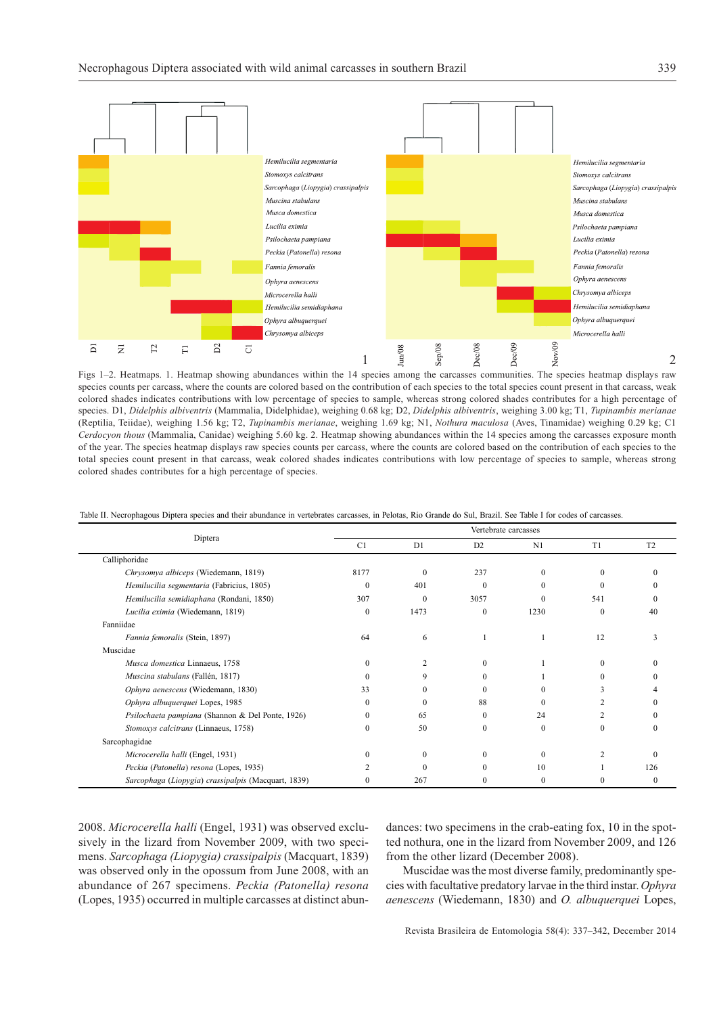

Figs 1–2. Heatmaps. 1. Heatmap showing abundances within the 14 species among the carcasses communities. The species heatmap displays raw species counts per carcass, where the counts are colored based on the contribution of each species to the total species count present in that carcass, weak colored shades indicates contributions with low percentage of species to sample, whereas strong colored shades contributes for a high percentage of species. D1, *Didelphis albiventris* (Mammalia, Didelphidae), weighing 0.68 kg; D2, *Didelphis albiventris*, weighing 3.00 kg; T1, *Tupinambis merianae* (Reptilia, Teiidae), weighing 1.56 kg; T2, *Tupinambis merianae*, weighing 1.69 kg; N1, *Nothura maculosa* (Aves, Tinamidae) weighing 0.29 kg; C1 *Cerdocyon thous* (Mammalia, Canidae) weighing 5.60 kg. 2. Heatmap showing abundances within the 14 species among the carcasses exposure month of the year. The species heatmap displays raw species counts per carcass, where the counts are colored based on the contribution of each species to the total species count present in that carcass, weak colored shades indicates contributions with low percentage of species to sample, whereas strong colored shades contributes for a high percentage of species.

Table II. Necrophagous Diptera species and their abundance in vertebrates carcasses, in Pelotas, Rio Grande do Sul, Brazil. See Table I for codes of carcasses.

|                                                     | Vertebrate carcasses |          |                |          |                |                |  |
|-----------------------------------------------------|----------------------|----------|----------------|----------|----------------|----------------|--|
| Diptera                                             | C1                   | D1       | D <sub>2</sub> | N1       | T <sub>1</sub> | T <sub>2</sub> |  |
| Calliphoridae                                       |                      |          |                |          |                |                |  |
| Chrysomya albiceps (Wiedemann, 1819)                | 8177                 | $\Omega$ | 237            | 0        | $\Omega$       | $\mathbf{0}$   |  |
| Hemilucilia segmentaria (Fabricius, 1805)           | $\mathbf{0}$         | 401      | $\theta$       | 0        | $\theta$       |                |  |
| Hemilucilia semidiaphana (Rondani, 1850)            | 307                  | $\theta$ | 3057           | 0        | 541            |                |  |
| Lucilia eximia (Wiedemann, 1819)                    | $\Omega$             | 1473     | $\mathbf{0}$   | 1230     | $\theta$       | 40             |  |
| Fanniidae                                           |                      |          |                |          |                |                |  |
| Fannia femoralis (Stein, 1897)                      | 64                   | 6        |                |          | 12             | ٩              |  |
| Muscidae                                            |                      |          |                |          |                |                |  |
| Musca domestica Linnaeus, 1758                      | 0                    |          | $\Omega$       |          | $\Omega$       |                |  |
| Muscina stabulans (Fallén, 1817)                    | $\Omega$             | 9        | $\Omega$       |          | 0              |                |  |
| Ophyra aenescens (Wiedemann, 1830)                  | 33                   | $\Omega$ | $\Omega$       | 0        | ٦              |                |  |
| Ophyra albuquerquei Lopes, 1985                     | 0                    | $\Omega$ | 88             | 0        |                |                |  |
| Psilochaeta pampiana (Shannon & Del Ponte, 1926)    |                      | 65       | $\Omega$       | 24       |                |                |  |
| Stomoxys calcitrans (Linnaeus, 1758)                | 0                    | 50       | $\mathbf{0}$   | $\Omega$ | $\theta$       | $\theta$       |  |
| Sarcophagidae                                       |                      |          |                |          |                |                |  |
| Microcerella halli (Engel, 1931)                    |                      | $\Omega$ | $\theta$       | $\theta$ | $\overline{c}$ | 0              |  |
| Peckia (Patonella) resona (Lopes, 1935)             |                      | $\Omega$ | $\Omega$       | 10       |                | 126            |  |
| Sarcophaga (Liopygia) crassipalpis (Macquart, 1839) | $\Omega$             | 267      | $\theta$       | 0        | $\theta$       | $\mathbf{0}$   |  |

2008. *Microcerella halli* (Engel, 1931) was observed exclusively in the lizard from November 2009, with two specimens. *Sarcophaga (Liopygia) crassipalpis* (Macquart, 1839) was observed only in the opossum from June 2008, with an abundance of 267 specimens. *Peckia (Patonella) resona* (Lopes, 1935) occurred in multiple carcasses at distinct abundances: two specimens in the crab-eating fox, 10 in the spotted nothura, one in the lizard from November 2009, and 126 from the other lizard (December 2008).

Muscidae was the most diverse family, predominantly species with facultative predatory larvae in the third instar. *Ophyra aenescens* (Wiedemann, 1830) and *O. albuquerquei* Lopes,

Revista Brasileira de Entomologia 58(4): 337–342, December 2014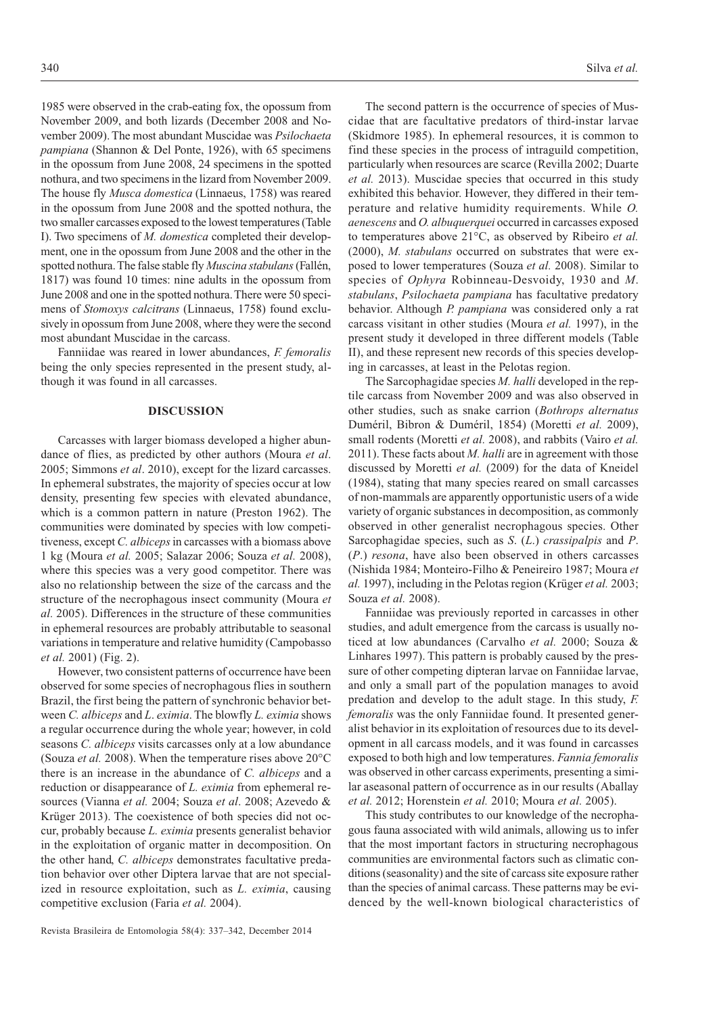1985 were observed in the crab-eating fox, the opossum from November 2009, and both lizards (December 2008 and November 2009). The most abundant Muscidae was *Psilochaeta pampiana* (Shannon & Del Ponte, 1926), with 65 specimens in the opossum from June 2008, 24 specimens in the spotted nothura, and two specimens in the lizard from November 2009. The house fly *Musca domestica* (Linnaeus, 1758) was reared in the opossum from June 2008 and the spotted nothura, the two smaller carcasses exposed to the lowest temperatures (Table I). Two specimens of *M. domestica* completed their development, one in the opossum from June 2008 and the other in the spotted nothura. The false stable fly *Muscina stabulans* (Fallén, 1817) was found 10 times: nine adults in the opossum from June 2008 and one in the spotted nothura. There were 50 specimens of *Stomoxys calcitrans* (Linnaeus, 1758) found exclusively in opossum from June 2008, where they were the second most abundant Muscidae in the carcass.

Fanniidae was reared in lower abundances, *F. femoralis* being the only species represented in the present study, although it was found in all carcasses.

### **DISCUSSION**

Carcasses with larger biomass developed a higher abundance of flies, as predicted by other authors (Moura *et al*. 2005; Simmons *et al*. 2010), except for the lizard carcasses. In ephemeral substrates, the majority of species occur at low density, presenting few species with elevated abundance, which is a common pattern in nature (Preston 1962). The communities were dominated by species with low competitiveness, except *C. albiceps* in carcasses with a biomass above 1 kg (Moura *et al.* 2005; Salazar 2006; Souza *et al.* 2008), where this species was a very good competitor. There was also no relationship between the size of the carcass and the structure of the necrophagous insect community (Moura *et al.* 2005). Differences in the structure of these communities in ephemeral resources are probably attributable to seasonal variations in temperature and relative humidity (Campobasso *et al.* 2001) (Fig. 2).

However, two consistent patterns of occurrence have been observed for some species of necrophagous flies in southern Brazil, the first being the pattern of synchronic behavior between *C. albiceps* and *L*. *eximia*. The blowfly *L. eximia* shows a regular occurrence during the whole year; however, in cold seasons *C. albiceps* visits carcasses only at a low abundance (Souza *et al.* 2008). When the temperature rises above 20°C there is an increase in the abundance of *C. albiceps* and a reduction or disappearance of *L. eximia* from ephemeral resources (Vianna *et al.* 2004; Souza *et al*. 2008; Azevedo & Krüger 2013). The coexistence of both species did not occur, probably because *L. eximia* presents generalist behavior in the exploitation of organic matter in decomposition. On the other hand, *C. albiceps* demonstrates facultative predation behavior over other Diptera larvae that are not specialized in resource exploitation, such as *L. eximia*, causing competitive exclusion (Faria *et al.* 2004).

The second pattern is the occurrence of species of Muscidae that are facultative predators of third-instar larvae (Skidmore 1985). In ephemeral resources, it is common to find these species in the process of intraguild competition, particularly when resources are scarce (Revilla 2002; Duarte *et al.* 2013). Muscidae species that occurred in this study exhibited this behavior. However, they differed in their temperature and relative humidity requirements. While *O. aenescens* and *O. albuquerquei* occurred in carcasses exposed to temperatures above 21°C, as observed by Ribeiro *et al.* (2000), *M. stabulans* occurred on substrates that were exposed to lower temperatures (Souza *et al.* 2008). Similar to species of *Ophyra* Robinneau-Desvoidy, 1930 and *M*. *stabulans*, *Psilochaeta pampiana* has facultative predatory behavior. Although *P. pampiana* was considered only a rat carcass visitant in other studies (Moura *et al.* 1997), in the present study it developed in three different models (Table II), and these represent new records of this species developing in carcasses, at least in the Pelotas region.

The Sarcophagidae species *M. halli* developed in the reptile carcass from November 2009 and was also observed in other studies, such as snake carrion (*Bothrops alternatus* Duméril, Bibron & Duméril, 1854) (Moretti *et al.* 2009), small rodents (Moretti *et al.* 2008), and rabbits (Vairo *et al.* 2011). These facts about *M. halli* are in agreement with those discussed by Moretti *et al.* (2009) for the data of Kneidel (1984), stating that many species reared on small carcasses of non-mammals are apparently opportunistic users of a wide variety of organic substances in decomposition, as commonly observed in other generalist necrophagous species. Other Sarcophagidae species, such as *S*. (*L*.) *crassipalpis* and *P*. (*P*.) *resona*, have also been observed in others carcasses (Nishida 1984; Monteiro-Filho & Peneireiro 1987; Moura *et al.* 1997), including in the Pelotas region (Krüger *et al.* 2003; Souza *et al.* 2008).

Fanniidae was previously reported in carcasses in other studies, and adult emergence from the carcass is usually noticed at low abundances (Carvalho *et al.* 2000; Souza & Linhares 1997). This pattern is probably caused by the pressure of other competing dipteran larvae on Fanniidae larvae, and only a small part of the population manages to avoid predation and develop to the adult stage. In this study, *F. femoralis* was the only Fanniidae found. It presented generalist behavior in its exploitation of resources due to its development in all carcass models, and it was found in carcasses exposed to both high and low temperatures. *Fannia femoralis* was observed in other carcass experiments, presenting a similar aseasonal pattern of occurrence as in our results (Aballay *et al.* 2012; Horenstein *et al.* 2010; Moura *et al.* 2005).

This study contributes to our knowledge of the necrophagous fauna associated with wild animals, allowing us to infer that the most important factors in structuring necrophagous communities are environmental factors such as climatic conditions (seasonality) and the site of carcass site exposure rather than the species of animal carcass. These patterns may be evidenced by the well-known biological characteristics of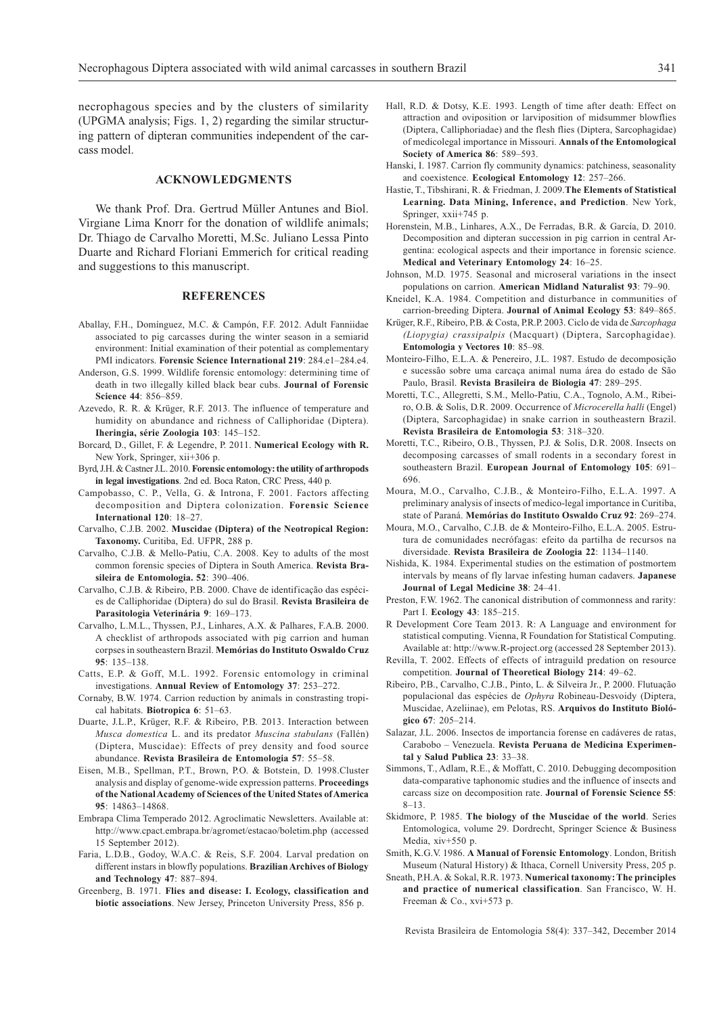necrophagous species and by the clusters of similarity (UPGMA analysis; Figs. 1, 2) regarding the similar structuring pattern of dipteran communities independent of the carcass model.

## **ACKNOWLEDGMENTS**

We thank Prof. Dra. Gertrud Müller Antunes and Biol. Virgiane Lima Knorr for the donation of wildlife animals; Dr. Thiago de Carvalho Moretti, M.Sc. Juliano Lessa Pinto Duarte and Richard Floriani Emmerich for critical reading and suggestions to this manuscript.

## **REFERENCES**

- Aballay, F.H., Domínguez, M.C. & Campón, F.F. 2012. Adult Fanniidae associated to pig carcasses during the winter season in a semiarid environment: Initial examination of their potential as complementary PMI indicators. **Forensic Science International 219**: 284.e1–284.e4.
- Anderson, G.S. 1999. Wildlife forensic entomology: determining time of death in two illegally killed black bear cubs. **Journal of Forensic Science 44**: 856–859.
- Azevedo, R. R. & Krüger, R.F. 2013. The influence of temperature and humidity on abundance and richness of Calliphoridae (Diptera). **Iheringia, série Zoologia 103**: 145–152.
- Borcard, D., Gillet, F. & Legendre, P. 2011. **Numerical Ecology with R.** New York, Springer, xii+306 p.
- Byrd, J.H. & Castner J.L. 2010. **Forensic entomology: the utility of arthropods in legal investigations**. 2nd ed. Boca Raton, CRC Press, 440 p.
- Campobasso, C. P., Vella, G. & Introna, F. 2001. Factors affecting decomposition and Diptera colonization. **Forensic Science International 120**: 18–27.
- Carvalho, C.J.B. 2002. **Muscidae (Diptera) of the Neotropical Region: Taxonomy.** Curitiba, Ed. UFPR, 288 p.
- Carvalho, C.J.B. & Mello-Patiu, C.A. 2008. Key to adults of the most common forensic species of Diptera in South America. **Revista Brasileira de Entomologia. 52**: 390–406.
- Carvalho, C.J.B. & Ribeiro, P.B. 2000. Chave de identificação das espécies de Calliphoridae (Diptera) do sul do Brasil. **Revista Brasileira de Parasitologia Veterinária 9**: 169–173.
- Carvalho, L.M.L., Thyssen, P.J., Linhares, A.X. & Palhares, F.A.B. 2000. A checklist of arthropods associated with pig carrion and human corpses in southeastern Brazil. **Memórias do Instituto Oswaldo Cruz 95**: 135–138.
- Catts, E.P. & Goff, M.L. 1992. Forensic entomology in criminal investigations. **Annual Review of Entomology 37**: 253–272.
- Cornaby, B.W. 1974. Carrion reduction by animals in constrasting tropical habitats. **Biotropica 6**: 51–63.
- Duarte, J.L.P., Krüger, R.F. & Ribeiro, P.B. 2013. Interaction between *Musca domestica* L. and its predator *Muscina stabulans* (Fallén) (Diptera, Muscidae): Effects of prey density and food source abundance. **Revista Brasileira de Entomologia 57**: 55–58.
- Eisen, M.B., Spellman, P.T., Brown, P.O. & Botstein, D. 1998.Cluster analysis and display of genome-wide expression patterns. **Proceedings of the National Academy of Sciences of the United States of America 95**: 14863–14868.
- Embrapa Clima Temperado 2012. Agroclimatic Newsletters. Available at: http://www.cpact.embrapa.br/agromet/estacao/boletim.php (accessed 15 September 2012).
- Faria, L.D.B., Godoy, W.A.C. & Reis, S.F. 2004. Larval predation on different instars in blowfly populations. **Brazilian Archives of Biology and Technology 47**: 887–894.
- Greenberg, B. 1971. **Flies and disease: I. Ecology, classification and biotic associations**. New Jersey, Princeton University Press, 856 p.
- Hall, R.D. & Dotsy, K.E. 1993. Length of time after death: Effect on attraction and oviposition or larviposition of midsummer blowflies (Diptera, Calliphoriadae) and the flesh flies (Diptera, Sarcophagidae) of medicolegal importance in Missouri. **Annals of the Entomological Society of America 86**: 589–593.
- Hanski, I. 1987. Carrion fly community dynamics: patchiness, seasonality and coexistence. **Ecological Entomology 12**: 257–266.
- Hastie, T., Tibshirani, R. & Friedman, J. 2009.**The Elements of Statistical Learning. Data Mining, Inference, and Prediction**. New York, Springer, xxii+745 p.
- Horenstein, M.B., Linhares, A.X., De Ferradas, B.R. & García, D. 2010. Decomposition and dipteran succession in pig carrion in central Argentina: ecological aspects and their importance in forensic science. **Medical and Veterinary Entomology 24**: 16–25.
- Johnson, M.D. 1975. Seasonal and microseral variations in the insect populations on carrion. **American Midland Naturalist 93**: 79–90.
- Kneidel, K.A. 1984. Competition and disturbance in communities of carrion-breeding Diptera. **Journal of Animal Ecology 53**: 849–865.
- Krüger, R.F., Ribeiro, P.B. & Costa, P.R.P. 2003. Ciclo de vida de *Sarcophaga (Liopygia) crassipalpis* (Macquart) (Diptera, Sarcophagidae)*.* **Entomologia y Vectores 10**: 85–98*.*
- Monteiro-Filho, E.L.A. & Penereiro, J.L. 1987. Estudo de decomposição e sucessão sobre uma carcaça animal numa área do estado de São Paulo, Brasil. **Revista Brasileira de Biologia 47**: 289–295.
- Moretti, T.C., Allegretti, S.M., Mello-Patiu, C.A., Tognolo, A.M., Ribeiro, O.B. & Solis, D.R. 2009. Occurrence of *Microcerella halli* (Engel) (Diptera, Sarcophagidae) in snake carrion in southeastern Brazil. **Revista Brasileira de Entomologia 53**: 318–320.
- Moretti, T.C., Ribeiro, O.B., Thyssen, P.J. & Solis, D.R. 2008. Insects on decomposing carcasses of small rodents in a secondary forest in southeastern Brazil. **European Journal of Entomology 105**: 691– 696.
- Moura, M.O., Carvalho, C.J.B., & Monteiro-Filho, E.L.A. 1997. A preliminary analysis of insects of medico-legal importance in Curitiba, state of Paraná. **Memórias do Instituto Oswaldo Cruz 92**: 269–274.
- Moura, M.O., Carvalho, C.J.B. de & Monteiro-Filho, E.L.A. 2005. Estrutura de comunidades necrófagas: efeito da partilha de recursos na diversidade. **Revista Brasileira de Zoologia 22**: 1134–1140.
- Nishida, K. 1984. Experimental studies on the estimation of postmortem intervals by means of fly larvae infesting human cadavers. **Japanese Journal of Legal Medicine 38**: 24–41.
- Preston, F.W. 1962. The canonical distribution of commonness and rarity: Part I. **Ecology 43**: 185–215.
- R Development Core Team 2013. R: A Language and environment for statistical computing. Vienna, R Foundation for Statistical Computing. Available at: http://www.R-project.org (accessed 28 September 2013).
- Revilla, T. 2002. Effects of effects of intraguild predation on resource competition. **Journal of Theoretical Biology 214**: 49–62.
- Ribeiro, P.B., Carvalho, C.J.B., Pinto, L. & Silveira Jr., P. 2000. Flutuação populacional das espécies de *Ophyra* Robineau-Desvoidy (Diptera, Muscidae, Azeliinae), em Pelotas, RS. **Arquivos do Instituto Biológico 67**: 205–214.
- Salazar, J.L. 2006. Insectos de importancia forense en cadáveres de ratas, Carabobo – Venezuela. **Revista Peruana de Medicina Experimental y Salud Publica 23**: 33–38.
- Simmons, T., Adlam, R.E., & Moffatt, C. 2010. Debugging decomposition data-comparative taphonomic studies and the influence of insects and carcass size on decomposition rate. **Journal of Forensic Science 55**: 8–13.
- Skidmore, P. 1985. **The biology of the Muscidae of the world**. Series Entomologica, volume 29. Dordrecht, Springer Science & Business Media, xiv+550 p.
- Smith, K.G.V. 1986. **A Manual of Forensic Entomology**. London, British Museum (Natural History) & Ithaca, Cornell University Press, 205 p.
- Sneath, P.H.A. & Sokal, R.R. 1973. **Numerical taxonomy: The principles and practice of numerical classification**. San Francisco, W. H. Freeman & Co., xvi+573 p.

Revista Brasileira de Entomologia 58(4): 337–342, December 2014